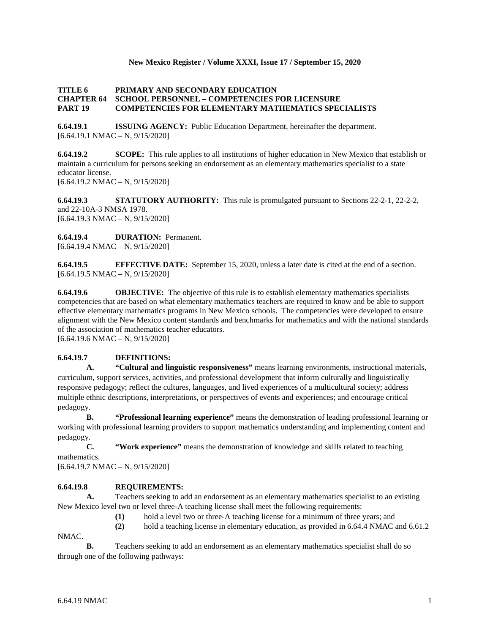### **New Mexico Register / Volume XXXI, Issue 17 / September 15, 2020**

#### **TITLE 6 PRIMARY AND SECONDARY EDUCATION CHAPTER 64 SCHOOL PERSONNEL – COMPETENCIES FOR LICENSURE PART 19 COMPETENCIES FOR ELEMENTARY MATHEMATICS SPECIALISTS**

**6.64.19.1 ISSUING AGENCY:** Public Education Department, hereinafter the department.  $[6.64.19.1 \text{ NMAC} - \text{N}, 9/15/2020]$ 

**6.64.19.2 SCOPE:** This rule applies to all institutions of higher education in New Mexico that establish or maintain a curriculum for persons seeking an endorsement as an elementary mathematics specialist to a state educator license. [6.64.19.2 NMAC – N, 9/15/2020]

**6.64.19.3 STATUTORY AUTHORITY:** This rule is promulgated pursuant to Sections 22-2-1, 22-2-2, and 22-10A-3 NMSA 1978. [6.64.19.3 NMAC – N, 9/15/2020]

**6.64.19.4 DURATION:** Permanent.  $[6.64.19.4 \text{ NMAC} - \text{N}, 9/15/2020]$ 

**6.64.19.5 EFFECTIVE DATE:** September 15, 2020, unless a later date is cited at the end of a section.  $[6.64.19.5 \text{ NMAC} - \text{N}, 9/15/2020]$ 

**6.64.19.6 OBJECTIVE:** The objective of this rule is to establish elementary mathematics specialists competencies that are based on what elementary mathematics teachers are required to know and be able to support effective elementary mathematics programs in New Mexico schools. The competencies were developed to ensure alignment with the New Mexico content standards and benchmarks for mathematics and with the national standards of the association of mathematics teacher educators.

[6.64.19.6 NMAC – N, 9/15/2020]

# **6.64.19.7 DEFINITIONS:**

**A. "Cultural and linguistic responsiveness"** means learning environments, instructional materials, curriculum, support services, activities, and professional development that inform culturally and linguistically responsive pedagogy; reflect the cultures, languages, and lived experiences of a multicultural society; address multiple ethnic descriptions, interpretations, or perspectives of events and experiences; and encourage critical pedagogy.

**B. "Professional learning experience"** means the demonstration of leading professional learning or working with professional learning providers to support mathematics understanding and implementing content and pedagogy.

**C. "Work experience"** means the demonstration of knowledge and skills related to teaching

mathematics.

[6.64.19.7 NMAC – N, 9/15/2020]

# **6.64.19.8 REQUIREMENTS:**

**A.** Teachers seeking to add an endorsement as an elementary mathematics specialist to an existing New Mexico level two or level three-A teaching license shall meet the following requirements:

**(1)** hold a level two or three-A teaching license for a minimum of three years; and

**(2)** hold a teaching license in elementary education, as provided in 6.64.4 NMAC and 6.61.2

NMAC.

**B.** Teachers seeking to add an endorsement as an elementary mathematics specialist shall do so through one of the following pathways: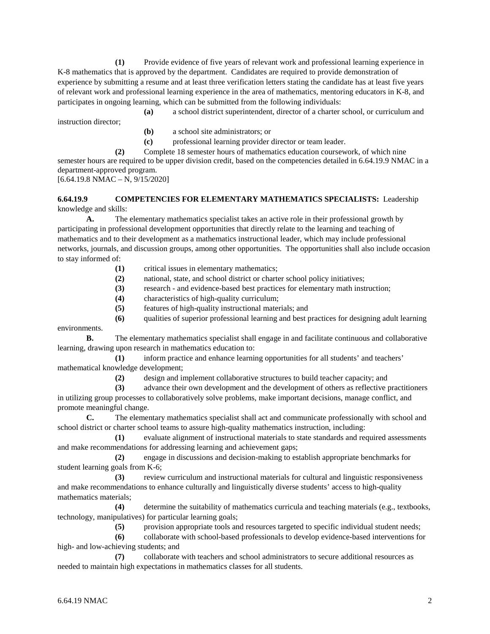**(1)** Provide evidence of five years of relevant work and professional learning experience in K-8 mathematics that is approved by the department. Candidates are required to provide demonstration of experience by submitting a resume and at least three verification letters stating the candidate has at least five years of relevant work and professional learning experience in the area of mathematics, mentoring educators in K-8, and participates in ongoing learning, which can be submitted from the following individuals:

**(a)** a school district superintendent, director of a charter school, or curriculum and

instruction director;

- **(b)** a school site administrators; or
- **(c)** professional learning provider director or team leader.

**(2)** Complete 18 semester hours of mathematics education coursework, of which nine semester hours are required to be upper division credit, based on the competencies detailed in 6.64.19.9 NMAC in a department-approved program.  $[6.64.19.8 \text{ NMAC} - \text{N}, 9/15/2020]$ 

#### **6.64.19.9 COMPETENCIES FOR ELEMENTARY MATHEMATICS SPECIALISTS:** Leadership knowledge and skills:

**A.** The elementary mathematics specialist takes an active role in their professional growth by participating in professional development opportunities that directly relate to the learning and teaching of mathematics and to their development as a mathematics instructional leader, which may include professional networks, journals, and discussion groups, among other opportunities. The opportunities shall also include occasion to stay informed of:

- **(1)** critical issues in elementary mathematics;
- **(2)** national, state, and school district or charter school policy initiatives;
- **(3)** research and evidence-based best practices for elementary math instruction;
- **(4)** characteristics of high-quality curriculum;
- **(5)** features of high-quality instructional materials; and

**(6)** qualities of superior professional learning and best practices for designing adult learning environments.

**B.** The elementary mathematics specialist shall engage in and facilitate continuous and collaborative learning, drawing upon research in mathematics education to:

**(1)** inform practice and enhance learning opportunities for all students' and teachers' mathematical knowledge development;

**(2)** design and implement collaborative structures to build teacher capacity; and

**(3)** advance their own development and the development of others as reflective practitioners

in utilizing group processes to collaboratively solve problems, make important decisions, manage conflict, and promote meaningful change.

**C.** The elementary mathematics specialist shall act and communicate professionally with school and school district or charter school teams to assure high-quality mathematics instruction, including:

**(1)** evaluate alignment of instructional materials to state standards and required assessments and make recommendations for addressing learning and achievement gaps;

**(2)** engage in discussions and decision-making to establish appropriate benchmarks for student learning goals from K-6;

**(3)** review curriculum and instructional materials for cultural and linguistic responsiveness and make recommendations to enhance culturally and linguistically diverse students' access to high-quality mathematics materials;

**(4)** determine the suitability of mathematics curricula and teaching materials (e.g., textbooks, technology, manipulatives) for particular learning goals;

**(5)** provision appropriate tools and resources targeted to specific individual student needs;

**(6)** collaborate with school-based professionals to develop evidence-based interventions for high- and low-achieving students; and

**(7)** collaborate with teachers and school administrators to secure additional resources as needed to maintain high expectations in mathematics classes for all students.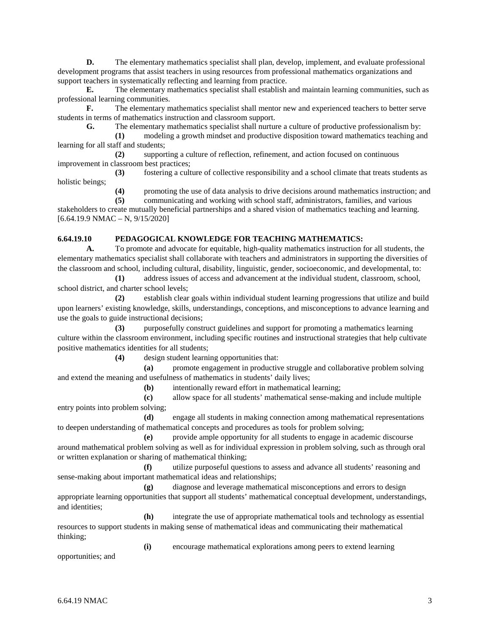**D.** The elementary mathematics specialist shall plan, develop, implement, and evaluate professional development programs that assist teachers in using resources from professional mathematics organizations and support teachers in systematically reflecting and learning from practice.

**E.** The elementary mathematics specialist shall establish and maintain learning communities, such as professional learning communities.

**F.** The elementary mathematics specialist shall mentor new and experienced teachers to better serve students in terms of mathematics instruction and classroom support.

**G.** The elementary mathematics specialist shall nurture a culture of productive professionalism by:

**(1)** modeling a growth mindset and productive disposition toward mathematics teaching and learning for all staff and students;

**(2)** supporting a culture of reflection, refinement, and action focused on continuous improvement in classroom best practices;

**(3)** fostering a culture of collective responsibility and a school climate that treats students as holistic beings;

**(4)** promoting the use of data analysis to drive decisions around mathematics instruction; and

**(5)** communicating and working with school staff, administrators, families, and various stakeholders to create mutually beneficial partnerships and a shared vision of mathematics teaching and learning. [6.64.19.9 NMAC – N, 9/15/2020]

### **6.64.19.10 PEDAGOGICAL KNOWLEDGE FOR TEACHING MATHEMATICS:**

**A.** To promote and advocate for equitable, high-quality mathematics instruction for all students, the elementary mathematics specialist shall collaborate with teachers and administrators in supporting the diversities of the classroom and school, including cultural, disability, linguistic, gender, socioeconomic, and developmental, to:

**(1)** address issues of access and advancement at the individual student, classroom, school, school district, and charter school levels;

**(2)** establish clear goals within individual student learning progressions that utilize and build upon learners' existing knowledge, skills, understandings, conceptions, and misconceptions to advance learning and use the goals to guide instructional decisions;

**(3)** purposefully construct guidelines and support for promoting a mathematics learning culture within the classroom environment, including specific routines and instructional strategies that help cultivate positive mathematics identities for all students;

**(4)** design student learning opportunities that:

**(a)** promote engagement in productive struggle and collaborative problem solving and extend the meaning and usefulness of mathematics in students' daily lives;

**(b)** intentionally reward effort in mathematical learning;

**(c)** allow space for all students' mathematical sense-making and include multiple entry points into problem solving;

**(d)** engage all students in making connection among mathematical representations to deepen understanding of mathematical concepts and procedures as tools for problem solving;

**(e)** provide ample opportunity for all students to engage in academic discourse around mathematical problem solving as well as for individual expression in problem solving, such as through oral or written explanation or sharing of mathematical thinking;

**(f)** utilize purposeful questions to assess and advance all students' reasoning and sense-making about important mathematical ideas and relationships;

**(g)** diagnose and leverage mathematical misconceptions and errors to design appropriate learning opportunities that support all students' mathematical conceptual development, understandings, and identities;

**(h)** integrate the use of appropriate mathematical tools and technology as essential resources to support students in making sense of mathematical ideas and communicating their mathematical thinking;

**(i)** encourage mathematical explorations among peers to extend learning

opportunities; and